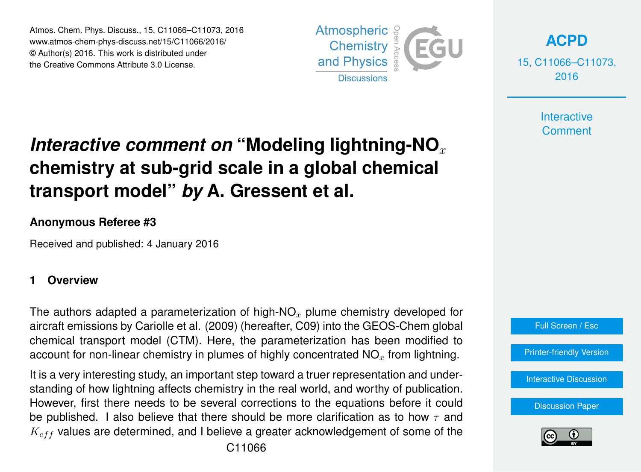Atmos. Chem. Phys. Discuss., 15, C11066–C11073, 2016 www.atmos-chem-phys-discuss.net/15/C11066/2016/ © Author(s) 2016. This work is distributed under the Creative Commons Attribute 3.0 License.



**[ACPD](http://www.atmos-chem-phys-discuss.net)**

15, C11066–C11073, 2016

> **Interactive Comment**

# *Interactive comment on* "Modeling lightning-NO<sub>x</sub> **chemistry at sub-grid scale in a global chemical transport model"** *by* **A. Gressent et al.**

#### **Anonymous Referee #3**

Received and published: 4 January 2016

#### **1 Overview**

The authors adapted a parameterization of high-NO<sub>x</sub> plume chemistry developed for aircraft emissions by Cariolle et al. (2009) (hereafter, C09) into the GEOS-Chem global chemical transport model (CTM). Here, the parameterization has been modified to account for non-linear chemistry in plumes of highly concentrated  $NO<sub>x</sub>$  from lightning.

It is a very interesting study, an important step toward a truer representation and understanding of how lightning affects chemistry in the real world, and worthy of publication. However, first there needs to be several corrections to the equations before it could be published. I also believe that there should be more clarification as to how  $\tau$  and  $K_{eff}$  values are determined, and I believe a greater acknowledgement of some of the



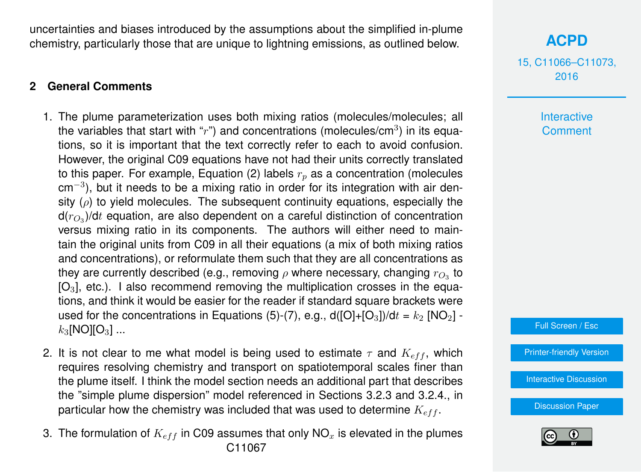uncertainties and biases introduced by the assumptions about the simplified in-plume chemistry, particularly those that are unique to lightning emissions, as outlined below.

### **2 General Comments**

- 1. The plume parameterization uses both mixing ratios (molecules/molecules; all the variables that start with " $r$ ") and concentrations (molecules/cm<sup>3</sup>) in its equations, so it is important that the text correctly refer to each to avoid confusion. However, the original C09 equations have not had their units correctly translated to this paper. For example, Equation (2) labels  $r<sub>n</sub>$  as a concentration (molecules cm<sup>-3</sup>), but it needs to be a mixing ratio in order for its integration with air density ( $\rho$ ) to yield molecules. The subsequent continuity equations, especially the d( $r_{O_3}$ )/d $t$  equation, are also dependent on a careful distinction of concentration versus mixing ratio in its components. The authors will either need to maintain the original units from C09 in all their equations (a mix of both mixing ratios and concentrations), or reformulate them such that they are all concentrations as they are currently described (e.g., removing  $\rho$  where necessary, changing  $r_{O_3}$  to  $[O_3]$ , etc.). I also recommend removing the multiplication crosses in the equations, and think it would be easier for the reader if standard square brackets were used for the concentrations in Equations (5)-(7), e.g.,  $d([O]+[O<sub>3</sub>])/dt = k<sub>2</sub> [NO<sub>2</sub>]$   $k_3$ [NO][O<sub>3</sub>] ...
- 2. It is not clear to me what model is being used to estimate  $\tau$  and  $K_{eff}$ , which requires resolving chemistry and transport on spatiotemporal scales finer than the plume itself. I think the model section needs an additional part that describes the "simple plume dispersion" model referenced in Sections 3.2.3 and 3.2.4., in particular how the chemistry was included that was used to determine  $K_{eff}$ .
- 3. The formulation of  $K_{eff}$  in C09 assumes that only NO<sub>x</sub> is elevated in the plumes C11067

## **[ACPD](http://www.atmos-chem-phys-discuss.net)**

15, C11066–C11073, 2016

> **Interactive Comment**



[Printer-friendly Version](http://www.atmos-chem-phys-discuss.net/15/C11066/2016/acpd-15-C11066-2016-print.pdf)

[Interactive Discussion](http://www.atmos-chem-phys-discuss.net/15/34091/2015/acpd-15-34091-2015-discussion.html)

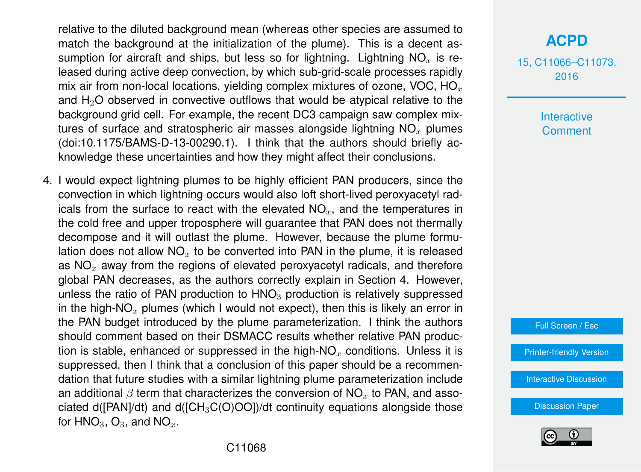relative to the diluted background mean (whereas other species are assumed to match the background at the initialization of the plume). This is a decent assumption for aircraft and ships, but less so for lightning. Lightning  $NO<sub>x</sub>$  is released during active deep convection, by which sub-grid-scale processes rapidly mix air from non-local locations, yielding complex mixtures of ozone, VOC,  $HO<sub>x</sub>$ and  $H<sub>2</sub>O$  observed in convective outflows that would be atypical relative to the background grid cell. For example, the recent DC3 campaign saw complex mixtures of surface and stratospheric air masses alongside lightning  $NO<sub>x</sub>$  plumes (doi:10.1175/BAMS-D-13-00290.1). I think that the authors should briefly acknowledge these uncertainties and how they might affect their conclusions.

4. I would expect lightning plumes to be highly efficient PAN producers, since the convection in which lightning occurs would also loft short-lived peroxyacetyl radicals from the surface to react with the elevated  $NO<sub>x</sub>$ , and the temperatures in the cold free and upper troposphere will guarantee that PAN does not thermally decompose and it will outlast the plume. However, because the plume formulation does not allow  $NO<sub>x</sub>$  to be converted into PAN in the plume, it is released as  $NO<sub>x</sub>$  away from the regions of elevated peroxyacetyl radicals, and therefore global PAN decreases, as the authors correctly explain in Section 4. However, unless the ratio of PAN production to  $HNO<sub>3</sub>$  production is relatively suppressed in the high-NO<sub>x</sub> plumes (which I would not expect), then this is likely an error in the PAN budget introduced by the plume parameterization. I think the authors should comment based on their DSMACC results whether relative PAN production is stable, enhanced or suppressed in the high-NO<sub>x</sub> conditions. Unless it is suppressed, then I think that a conclusion of this paper should be a recommendation that future studies with a similar lightning plume parameterization include an additional  $\beta$  term that characterizes the conversion of NO<sub>x</sub> to PAN, and associated d( $[PAN]/dt$ ) and d( $[CH_3C(O)OO]$ )/dt continuity equations alongside those for  $HNO<sub>3</sub>$ ,  $O<sub>3</sub>$ , and  $NO<sub>x</sub>$ .

## **[ACPD](http://www.atmos-chem-phys-discuss.net)**

15, C11066–C11073, 2016

> Interactive **Comment**

Full Screen / Esc

[Printer-friendly Version](http://www.atmos-chem-phys-discuss.net/15/C11066/2016/acpd-15-C11066-2016-print.pdf)

[Interactive Discussion](http://www.atmos-chem-phys-discuss.net/15/34091/2015/acpd-15-34091-2015-discussion.html)

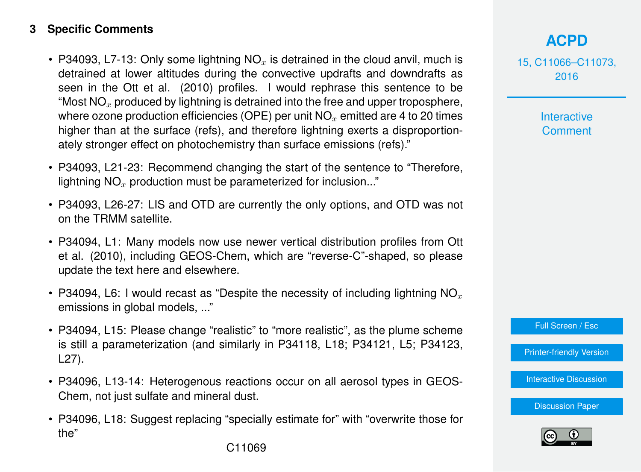#### **3 Specific Comments**

- P34093, L7-13: Only some lightning  $NO<sub>x</sub>$  is detrained in the cloud anvil, much is detrained at lower altitudes during the convective updrafts and downdrafts as seen in the Ott et al. (2010) profiles. I would rephrase this sentence to be "Most  $NO<sub>x</sub>$  produced by lightning is detrained into the free and upper troposphere, where ozone production efficiencies (OPE) per unit  $NO<sub>x</sub>$  emitted are 4 to 20 times higher than at the surface (refs), and therefore lightning exerts a disproportionately stronger effect on photochemistry than surface emissions (refs)."
- P34093, L21-23: Recommend changing the start of the sentence to "Therefore, lightning  $NO<sub>x</sub>$  production must be parameterized for inclusion..."
- P34093, L26-27: LIS and OTD are currently the only options, and OTD was not on the TRMM satellite.
- P34094, L1: Many models now use newer vertical distribution profiles from Ott et al. (2010), including GEOS-Chem, which are "reverse-C"-shaped, so please update the text here and elsewhere.
- P34094, L6: I would recast as "Despite the necessity of including lightning NO<sub>x</sub> emissions in global models, ..."
- P34094, L15: Please change "realistic" to "more realistic", as the plume scheme is still a parameterization (and similarly in P34118, L18; P34121, L5; P34123, L27).
- P34096, L13-14: Heterogenous reactions occur on all aerosol types in GEOS-Chem, not just sulfate and mineral dust.
- P34096, L18: Suggest replacing "specially estimate for" with "overwrite those for the"

15, C11066–C11073, 2016

> **Interactive Comment**

Full Screen / Esc

[Printer-friendly Version](http://www.atmos-chem-phys-discuss.net/15/C11066/2016/acpd-15-C11066-2016-print.pdf)

[Interactive Discussion](http://www.atmos-chem-phys-discuss.net/15/34091/2015/acpd-15-34091-2015-discussion.html)

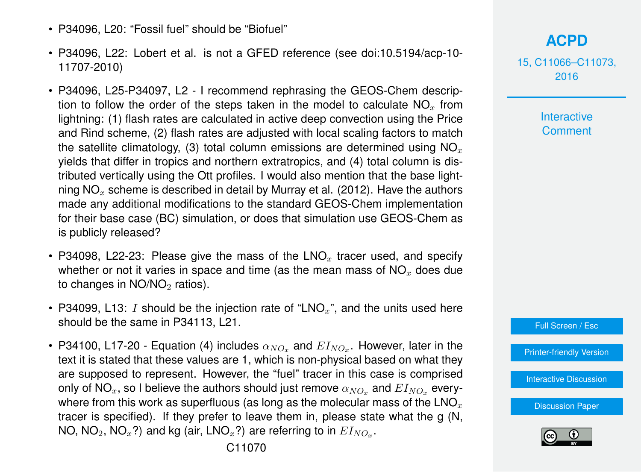- P34096, L20: "Fossil fuel" should be "Biofuel"
- P34096, L22: Lobert et al. is not a GFED reference (see doi:10.5194/acp-10- 11707-2010)
- P34096, L25-P34097, L2 I recommend rephrasing the GEOS-Chem description to follow the order of the steps taken in the model to calculate  $NO<sub>x</sub>$  from lightning: (1) flash rates are calculated in active deep convection using the Price and Rind scheme, (2) flash rates are adjusted with local scaling factors to match the satellite climatology, (3) total column emissions are determined using  $NO<sub>x</sub>$ yields that differ in tropics and northern extratropics, and (4) total column is distributed vertically using the Ott profiles. I would also mention that the base lightning  $NO<sub>x</sub>$  scheme is described in detail by Murray et al. (2012). Have the authors made any additional modifications to the standard GEOS-Chem implementation for their base case (BC) simulation, or does that simulation use GEOS-Chem as is publicly released?
- P34098, L22-23: Please give the mass of the  $LNO<sub>x</sub>$  tracer used, and specify whether or not it varies in space and time (as the mean mass of  $NO<sub>x</sub>$  does due to changes in  $NO/NO<sub>2</sub>$  ratios).
- P34099, L13: I should be the injection rate of "LNO<sub>x</sub>", and the units used here should be the same in P34113, L21.
- P34100, L17-20 Equation (4) includes  $\alpha_{NO_x}$  and  $E I_{NO_x}$ . However, later in the text it is stated that these values are 1, which is non-physical based on what they are supposed to represent. However, the "fuel" tracer in this case is comprised only of NO<sub>x</sub>, so I believe the authors should just remove  $\alpha_{NOx}$  and  $EI_{NOx}$  everywhere from this work as superfluous (as long as the molecular mass of the  $\text{LNO}_x$ tracer is specified). If they prefer to leave them in, please state what the g (N, NO, NO $_2$ , NO $_x$ ?) and kg (air, LNO $_x$ ?) are referring to in  $E I_{NO_x}.$

15, C11066–C11073, 2016

> **Interactive Comment**



[Printer-friendly Version](http://www.atmos-chem-phys-discuss.net/15/C11066/2016/acpd-15-C11066-2016-print.pdf)

[Interactive Discussion](http://www.atmos-chem-phys-discuss.net/15/34091/2015/acpd-15-34091-2015-discussion.html)

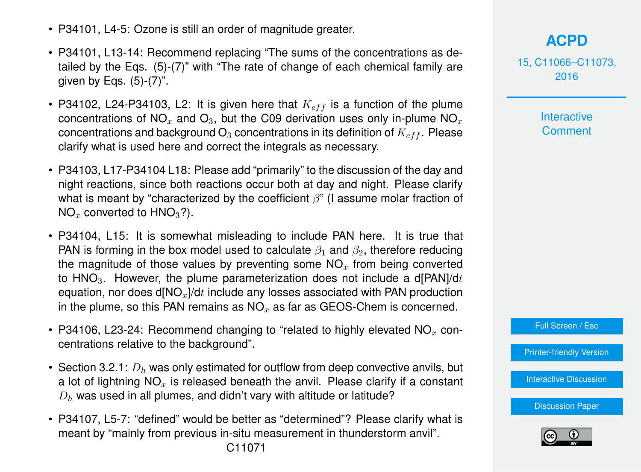- P34101, L4-5: Ozone is still an order of magnitude greater.
- P34101, L13-14: Recommend replacing "The sums of the concentrations as detailed by the Eqs. (5)-(7)" with "The rate of change of each chemical family are given by Eqs.  $(5)-(7)$ ".
- P34102, L24-P34103, L2: It is given here that  $K_{eff}$  is a function of the plume concentrations of NO<sub>x</sub> and O<sub>3</sub>, but the C09 derivation uses only in-plume NO<sub>x</sub> concentrations and background  $O_3$  concentrations in its definition of  $K_{eff}$ . Please clarify what is used here and correct the integrals as necessary.
- P34103, L17-P34104 L18: Please add "primarily" to the discussion of the day and night reactions, since both reactions occur both at day and night. Please clarify what is meant by "characterized by the coefficient  $\beta$ " (I assume molar fraction of  $NO<sub>x</sub>$  converted to HNO<sub>3</sub>?).
- P34104, L15: It is somewhat misleading to include PAN here. It is true that PAN is forming in the box model used to calculate  $\beta_1$  and  $\beta_2$ , therefore reducing the magnitude of those values by preventing some  $NO<sub>x</sub>$  from being converted to  $HNO<sub>3</sub>$ . However, the plume parameterization does not include a d[PAN]/dt equation, nor does  $d[NO<sub>x</sub>]/dt$  include any losses associated with PAN production in the plume, so this PAN remains as  $NO<sub>x</sub>$  as far as GEOS-Chem is concerned.
- P34106, L23-24: Recommend changing to "related to highly elevated  $NO<sub>x</sub>$  concentrations relative to the background".
- Section 3.2.1:  $D_h$  was only estimated for outflow from deep convective anvils, but a lot of lightning  $NO<sub>x</sub>$  is released beneath the anvil. Please clarify if a constant  $D_h$  was used in all plumes, and didn't vary with altitude or latitude?
- P34107, L5-7: "defined" would be better as "determined"? Please clarify what is meant by "mainly from previous in-situ measurement in thunderstorm anvil".

## **[ACPD](http://www.atmos-chem-phys-discuss.net)**

15, C11066–C11073, 2016

> **Interactive Comment**

Full Screen / Esc

[Printer-friendly Version](http://www.atmos-chem-phys-discuss.net/15/C11066/2016/acpd-15-C11066-2016-print.pdf)

[Interactive Discussion](http://www.atmos-chem-phys-discuss.net/15/34091/2015/acpd-15-34091-2015-discussion.html)

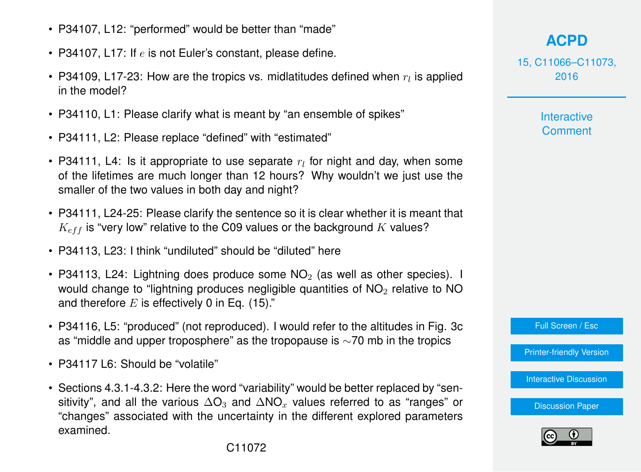- P34107, L12: "performed" would be better than "made"
- P34107, L17: If  $e$  is not Euler's constant, please define.
- P34109, L17-23: How are the tropics vs. midlatitudes defined when  $r_l$  is applied in the model?
- P34110, L1: Please clarify what is meant by "an ensemble of spikes"
- P34111, L2: Please replace "defined" with "estimated"
- P34111, L4: Is it appropriate to use separate  $r_l$  for night and day, when some of the lifetimes are much longer than 12 hours? Why wouldn't we just use the smaller of the two values in both day and night?
- P34111, L24-25: Please clarify the sentence so it is clear whether it is meant that  $K_{eff}$  is "very low" relative to the C09 values or the background K values?
- P34113, L23: I think "undiluted" should be "diluted" here
- P34113, L24: Lightning does produce some  $NO<sub>2</sub>$  (as well as other species). I would change to "lightning produces negligible quantities of  $NO<sub>2</sub>$  relative to NO and therefore  $E$  is effectively 0 in Eq. (15)."
- P34116, L5: "produced" (not reproduced). I would refer to the altitudes in Fig. 3c as "middle and upper troposphere" as the tropopause is ∼70 mb in the tropics
- P34117 L6: Should be "volatile"
- Sections 4.3.1-4.3.2: Here the word "variability" would be better replaced by "sensitivity", and all the various  $\Delta O_3$  and  $\Delta NO_x$  values referred to as "ranges" or "changes" associated with the uncertainty in the different explored parameters examined.

15, C11066–C11073, 2016

> **Interactive Comment**

Full Screen / Esc

[Printer-friendly Version](http://www.atmos-chem-phys-discuss.net/15/C11066/2016/acpd-15-C11066-2016-print.pdf)

**[Interactive Discussion](http://www.atmos-chem-phys-discuss.net/15/34091/2015/acpd-15-34091-2015-discussion.html)**